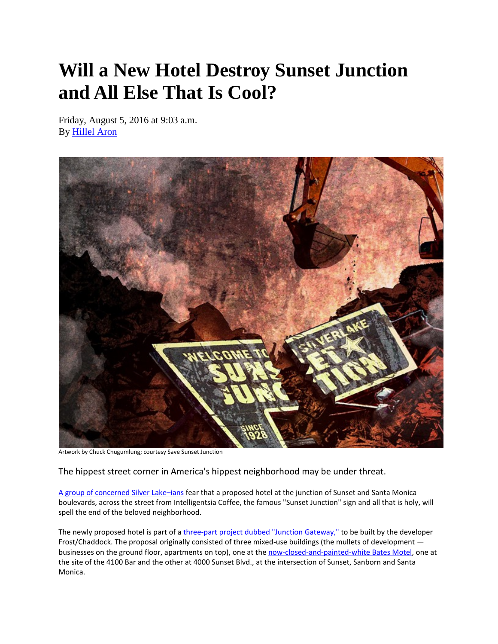## **Will a New Hotel Destroy Sunset Junction and All Else That Is Cool?**

Friday, August 5, 2016 at 9:03 a.m. By [Hillel Aron](http://www.laweekly.com/authors/hillel-aron-2127495)



Artwork by Chuck Chugumlung; courtesy Save Sunset Junction

The hippest street corner in America's hippest neighborhood may be under threat.

[A group of concerned Silver Lake–ians](http://www.savesunsetjunction.org/) fear that a proposed hotel at the junction of Sunset and Santa Monica boulevards, across the street from Intelligentsia Coffee, the famous "Sunset Junction" sign and all that is holy, will spell the end of the beloved neighborhood.

The newly proposed hotel is part of [a three-part project dubbed "Junction Gateway," t](http://www.junctiongateway.com/)o be built by the developer Frost/Chaddock. The proposal originally consisted of three mixed-use buildings (the mullets of development businesses on the ground floor, apartments on top), one at the [now-closed-and-painted-white Bates Motel,](http://www.laweekly.com/news/see-the-creepy-bates-motel-turn-white-as-a-ghost-photos-5508150) one at the site of the 4100 Bar and the other at 4000 Sunset Blvd., at the intersection of Sunset, Sanborn and Santa Monica.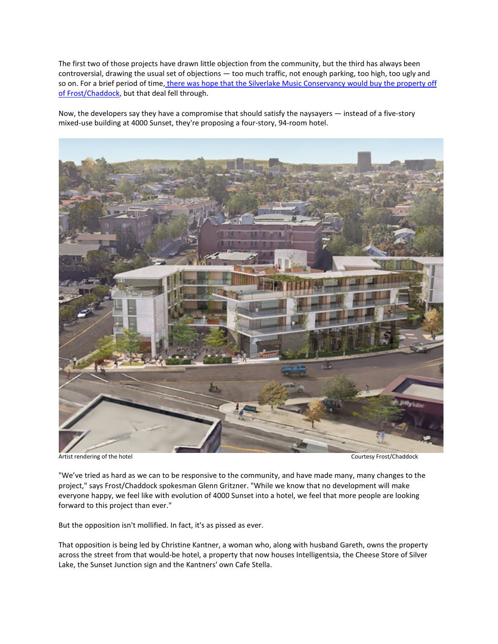The first two of those projects have drawn little objection from the community, but the third has always been controversial, drawing the usual set of objections — too much traffic, not enough parking, too high, too ugly and so on. For a brief period of time, there was hope that the Silverlake Music Conservancy would buy the property off [of Frost/Chaddock,](http://www.laweekly.com/news/silver-lake-hipsters-developers-approaching-detente-over-density-at-sunset-junction-5321539) but that deal fell through.

Now, the developers say they have a compromise that should satisfy the naysayers — instead of a five-story mixed-use building at 4000 Sunset, they're proposing a four-story, 94-room hotel.



Artist rendering of the hotel and the hotel courtesy Frost/Chaddock courtesy Frost/Chaddock

"We've tried as hard as we can to be responsive to the community, and have made many, many changes to the project," says Frost/Chaddock spokesman Glenn Gritzner. "While we know that no development will make everyone happy, we feel like with evolution of 4000 Sunset into a hotel, we feel that more people are looking forward to this project than ever."

But the opposition isn't mollified. In fact, it's as pissed as ever.

That opposition is being led by Christine Kantner, a woman who, along with husband Gareth, owns the property across the street from that would-be hotel, a property that now houses Intelligentsia, the Cheese Store of Silver Lake, the Sunset Junction sign and the Kantners' own Cafe Stella.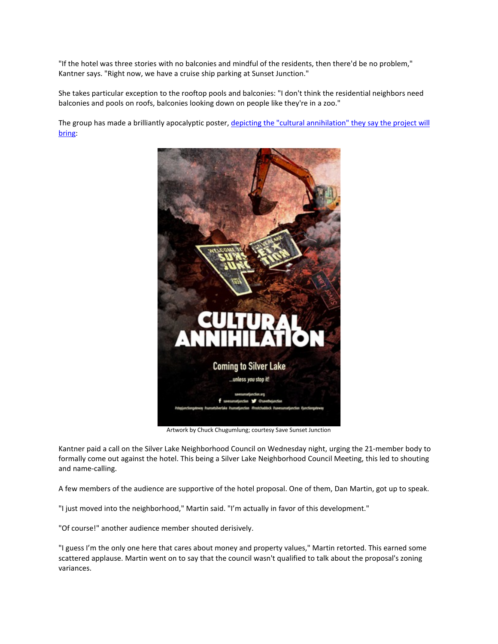"If the hotel was three stories with no balconies and mindful of the residents, then there'd be no problem," Kantner says. "Right now, we have a cruise ship parking at Sunset Junction."

She takes particular exception to the rooftop pools and balconies: "I don't think the residential neighbors need balconies and pools on roofs, balconies looking down on people like they're in a zoo."

The group has made a brilliantly apocalyptic poster, depicting the "cultural annihilation" they say the project will [bring:](https://twitter.com/savethejunction/status/755112638191771648)



Artwork by Chuck Chugumlung; courtesy Save Sunset Junction

Kantner paid a call on the Silver Lake Neighborhood Council on Wednesday night, urging the 21-member body to formally come out against the hotel. This being a Silver Lake Neighborhood Council Meeting, this led to shouting and name-calling.

A few members of the audience are supportive of the hotel proposal. One of them, Dan Martin, got up to speak.

"I just moved into the neighborhood," Martin said. "I'm actually in favor of this development."

"Of course!" another audience member shouted derisively.

"I guess I'm the only one here that cares about money and property values," Martin retorted. This earned some scattered applause. Martin went on to say that the council wasn't qualified to talk about the proposal's zoning variances.